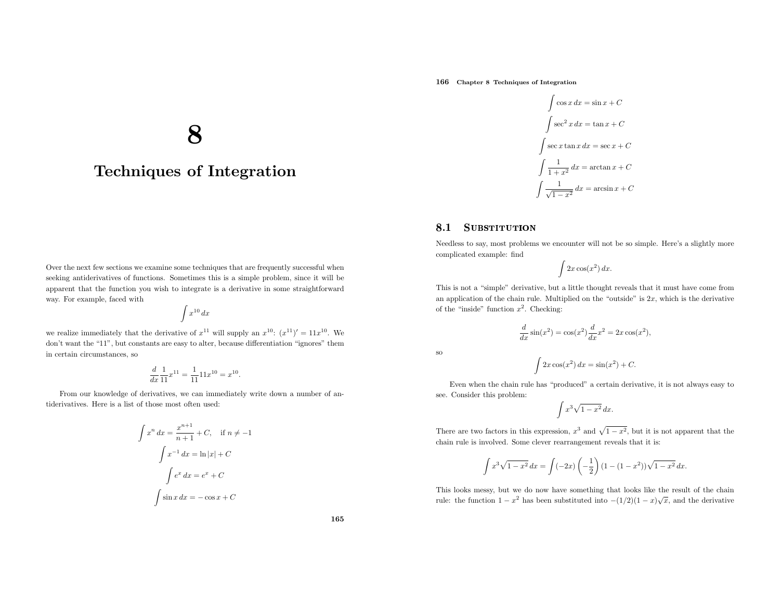166 Chapter <sup>8</sup> Techniques of Integration

 $\int \cos x \, dx = \sin x + C$  $\int \sec^2 x \, dx = \tan x + C$  $\int \sec x \tan x \, dx = \sec x + C$  $\int \frac{1}{1+x^2} dx = \arctan x + C$  $\int \frac{1}{\sqrt{1-x^2}} dx = \arcsin x + C$ 

#### 8.1**SUBSTITUTION**

Needless to say, most problems we encounter will not be so simple. Here's <sup>a</sup> slightly more complicated example: find

$$
\int 2x \cos(x^2) \, dx.
$$

This is not <sup>a</sup> "simple" derivative, but <sup>a</sup> little thought reveals that it must have come froman application of the chain rule. Multiplied on the "outside" is  $2x$ , which is the derivative of the "inside" function  $x^2$ . Checking:

$$
\frac{d}{dx}\sin(x^2) = \cos(x^2)\frac{d}{dx}x^2 = 2x\cos(x^2),
$$

so

$$
\int 2x\cos(x^2) dx = \sin(x^2) + C.
$$

Even when the chain rule has "produced" <sup>a</sup> certain derivative, it is not always easy to see. Consider this problem:

$$
\int x^3 \sqrt{1 - x^2} \, dx.
$$

There are two factors in this expression,  $x^3$  and  $\sqrt{1 - x^2}$ , but it is not apparent that the chain rule is involved. Some clever rearrangement reveals that it is:

$$
\int x^3 \sqrt{1 - x^2} \, dx = \int (-2x) \left( -\frac{1}{2} \right) (1 - (1 - x^2)) \sqrt{1 - x^2} \, dx.
$$

This looks messy, but we do now have something that looks like the result of the chainrule: the function  $1 - x^2$  has been substituted into  $-(1/2)(1 - x)\sqrt{x}$ , and the derivative

# 8

## Techniques of Integration

Over the next few sections we examine some techniques that are frequently successful when seeking antiderivatives of functions. Sometimes this is <sup>a</sup> simple problem, since it will be apparent that the function you wish to integrate is <sup>a</sup> derivative in some straightforwardway. For example, faced with

$$
\int x^{10} \, dx
$$

we realize immediately that the derivative of  $x^{11}$  will supply an  $x^{10}$ :  $(x^{11})' = 11x^{10}$ . We don't want the "11", but constants are easy to alter, because differentiation "ignores" themin certain circumstances, so

$$
\frac{d}{dx}\frac{1}{11}x^{11} = \frac{1}{11}11x^{10} = x^{10}.
$$

From our knowledge of derivatives, we can immediately write down <sup>a</sup> number of antiderivatives. Here is <sup>a</sup> list of those most often used:

$$
\int x^n dx = \frac{x^{n+1}}{n+1} + C, \quad \text{if } n \neq -1
$$

$$
\int x^{-1} dx = \ln|x| + C
$$

$$
\int e^x dx = e^x + C
$$

$$
\int \sin x dx = -\cos x + C
$$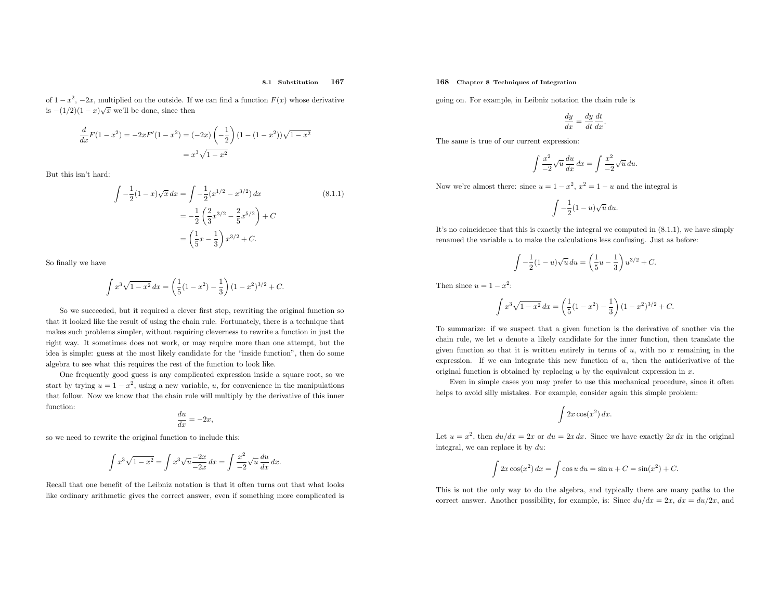#### 8.1 Substitution<sup>167</sup>

of  $1-x^2$ ,  $-2x$ , multiplied on the outside. If we can find a function  $F(x)$  whose derivative is  $-(1/2)(1-x)\sqrt{x}$  we'll be done, since then

$$
\frac{d}{dx}F(1-x^2) = -2xF'(1-x^2) = (-2x)\left(-\frac{1}{2}\right)(1-(1-x^2))\sqrt{1-x^2}
$$

$$
= x^3\sqrt{1-x^2}
$$

But this isn't hard:

$$
\int -\frac{1}{2}(1-x)\sqrt{x} \, dx = \int -\frac{1}{2}(x^{1/2} - x^{3/2}) \, dx
$$
\n
$$
= -\frac{1}{2}\left(\frac{2}{3}x^{3/2} - \frac{2}{5}x^{5/2}\right) + C
$$
\n
$$
= \left(\frac{1}{5}x - \frac{1}{3}\right)x^{3/2} + C.
$$
\n(8.1.1)

So finally we have

$$
\int x^3 \sqrt{1 - x^2} \, dx = \left(\frac{1}{5}(1 - x^2) - \frac{1}{3}\right)(1 - x^2)^{3/2} + C.
$$

So we succeeded, but it required <sup>a</sup> clever first step, rewriting the original function so that it looked like the result of using the chain rule. Fortunately, there is <sup>a</sup> technique that makes such problems simpler, without requiring cleverness to rewrite <sup>a</sup> function in just the right way. It sometimes does not work, or may require more than one attempt, but the idea is simple: guess at the most likely candidate for the "inside function", then do some algebra to see what this requires the rest of the function to look like.

One frequently good guess is any complicated expression inside <sup>a</sup> square root, so we start by trying  $u = 1 - x^2$ , using a new variable, u, for convenience in the manipulations that follow. Now we know that the chain rule will multiply by the derivative of this inner function:

$$
\frac{du}{dx} = -2x,
$$

so we need to rewrite the original function to include this:

$$
\int x^3 \sqrt{1 - x^2} = \int x^3 \sqrt{u} \frac{-2x}{-2x} dx = \int \frac{x^2}{-2} \sqrt{u} \frac{du}{dx} dx.
$$

Recall that one benefit of the Leibniz notation is that it often turns out that what looks like ordinary arithmetic <sup>g</sup>ives the correct answer, even if something more complicated is

#### 168 Chapter <sup>8</sup> Techniques of Integration

going on. For example, in Leibniz notation the chain rule is

$$
\frac{dy}{dx} = \frac{dy}{dt}\frac{dt}{dx}.
$$

The same is true of our current expression:

$$
\int \frac{x^2}{-2} \sqrt{u} \frac{du}{dx} dx = \int \frac{x^2}{-2} \sqrt{u} du.
$$

Now we're almost there: since  $u = 1 - x^2$ ,  $x^2 = 1 - u$  and the integral is

$$
\int -\frac{1}{2}(1-u)\sqrt{u}\,du.
$$

It's no coincidence that this is exactly the integral we computed in (8.1.1), we have simplyrenamed the variable <sup>u</sup> to make the calculations less confusing. Just as before:

$$
\int -\frac{1}{2}(1-u)\sqrt{u}\,du = \left(\frac{1}{5}u - \frac{1}{3}\right)u^{3/2} + C.
$$

Then since  $u = 1 - x^2$ :

$$
\int x^3 \sqrt{1-x^2} \, dx = \left(\frac{1}{5}(1-x^2) - \frac{1}{3}\right)(1-x^2)^{3/2} + C.
$$

To summarize: if we suspect that <sup>a</sup> <sup>g</sup>iven function is the derivative of another via the chain rule, we let  $u$  denote a likely candidate for the inner function, then translate the given function so that it is written entirely in terms of  $u$ , with no  $x$  remaining in the expression. If we can integrate this new function of  $u$ , then the antiderivative of the original function is obtained by replacing  $u$  by the equivalent expression in  $x$ .

Even in simple cases you may prefer to use this mechanical procedure, since it oftenhelps to avoid silly mistakes. For example, consider again this simple problem:

$$
\int 2x \cos(x^2) \, dx.
$$

Let  $u = x^2$ , then  $du/dx = 2x$  or  $du = 2x dx$ . Since we have exactly  $2x dx$  in the original integral, we can replace it by  $du$ :

$$
\int 2x \cos(x^2) \, dx = \int \cos u \, du = \sin u + C = \sin(x^2) + C.
$$

This is not the only way to do the algebra, and typically there are many paths to the correct answer. Another possibility, for example, is: Since  $du/dx = 2x$ ,  $dx = du/2x$ , and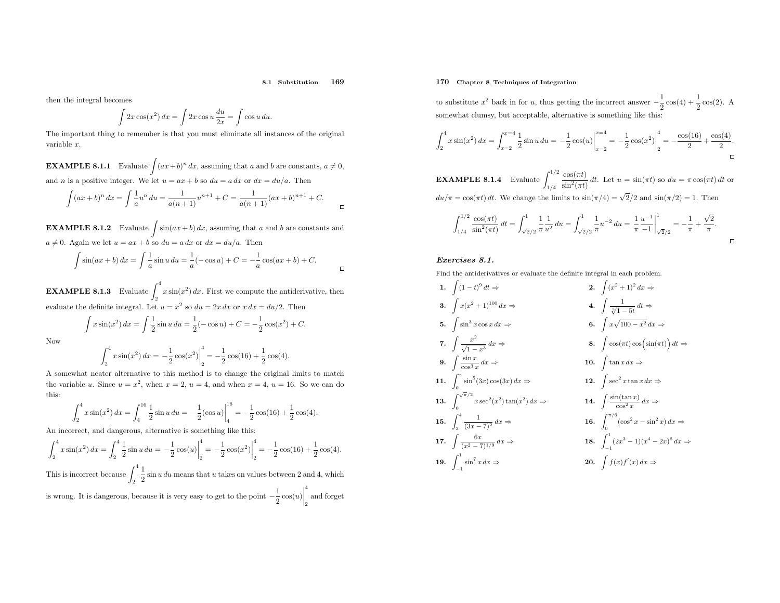#### 8.1 Substitution<sup>169</sup>

then the integral becomes

$$
\int 2x\cos(x^2) dx = \int 2x\cos u \frac{du}{2x} = \int \cos u du.
$$

 The important thing to remember is that you must eliminate all instances of the original variable <sup>x</sup>.

**EXAMPLE 8.1.1** Evaluate  $\int (ax+b)^n dx$ , assuming that a and b are constants,  $a \neq 0$ , and *n* is a positive integer. We let  $u = ax + b$  so  $du = a dx$  or  $dx = du/a$ . Then

$$
\int (ax+b)^n dx = \int \frac{1}{a} u^n du = \frac{1}{a(n+1)} u^{n+1} + C = \frac{1}{a(n+1)} (ax+b)^{n+1} + C.
$$

**EXAMPLE 8.1.2** Evaluate  $\int \sin(ax+b) dx$ , assuming that a and b are constants and  $a \neq 0$ . Again we let  $u = ax + b$  so  $du = a dx$  or  $dx = du/a$ . Then

$$
\int \sin(ax+b) \, dx = \int \frac{1}{a} \sin u \, du = \frac{1}{a} (-\cos u) + C = -\frac{1}{a} \cos(ax+b) + C.
$$

**EXAMPLE 8.1.3** Evaluate  $\int_2^4 x \sin(x^2) dx$ . First we compute the antiderivative, then evaluate the definite integral. Let  $u = x^2$  so  $du = 2x dx$  or  $x dx = du/2$ . Then

$$
\int x \sin(x^2) \, dx = \int \frac{1}{2} \sin u \, du = \frac{1}{2} (-\cos u) + C = -\frac{1}{2} \cos(x^2) + C.
$$

Now

$$
\int_{2}^{4} x \sin(x^{2}) dx = -\frac{1}{2} \cos(x^{2}) \Big|_{2}^{4} = -\frac{1}{2} \cos(16) + \frac{1}{2} \cos(4).
$$

 <sup>A</sup> somewhat neater alternative to this method is to change the original limits to matchthe variable u. Since  $u = x^2$ , when  $x = 2$ ,  $u = 4$ , and when  $x = 4$ ,  $u = 16$ . So we can do this:

$$
\int_{2}^{4} x \sin(x^{2}) dx = \int_{4}^{16} \frac{1}{2} \sin u du = -\frac{1}{2} (\cos u) \Big|_{4}^{16} = -\frac{1}{2} \cos(16) + \frac{1}{2} \cos(4).
$$

An incorrect, and dangerous, alternative is something like this:

$$
\int_{2}^{4} x \sin(x^{2}) dx = \int_{2}^{4} \frac{1}{2} \sin u du = -\frac{1}{2} \cos(u) \Big|_{2}^{4} = -\frac{1}{2} \cos(x^{2}) \Big|_{2}^{4} = -\frac{1}{2} \cos(16) + \frac{1}{2} \cos(4).
$$

This is incorrect because  $\int_2^4$ is wrong. It is dangerous, because it is very easy to get to the point  $\frac{1}{2}$  sin *u du* means that *u* takes on values between 2 and 4, which  $\frac{1}{2} \cos(u)$ 4 and forget<br>2

### 170 Chapter <sup>8</sup> Techniques of Integration

to substitute  $x$ <sup>2</sup> back in for u, thus getting the incorrect answer  $-\frac{1}{2}\cos(4) + \frac{1}{2}\cos(2)$ . A somewhat clumsy, but acceptable, alternative is something like this:

$$
\int_{2}^{4} x \sin(x^{2}) dx = \int_{x=2}^{x=4} \frac{1}{2} \sin u du = -\frac{1}{2} \cos(u) \Big|_{x=2}^{x=4} = -\frac{1}{2} \cos(x^{2}) \Big|_{2}^{4} = -\frac{\cos(16)}{2} + \frac{\cos(4)}{2}.
$$

**EXAMPLE 8.1.4** Evaluate  $\int_{1/4}^{1/2}$  $du/\pi = \cos(\pi t) dt$ . We change the limits to  $\sin(\pi/4) = \sqrt{2}/2$  and  $\sin(\pi/2) = 1$ . Then  $\frac{\cos(\pi t)}{\sin^2(\pi t)} dt$ . Let  $u = \sin(\pi t)$  so  $du = \pi \cos(\pi t) dt$  or

$$
\int_{1/4}^{1/2} \frac{\cos(\pi t)}{\sin^2(\pi t)} dt = \int_{\sqrt{2}/2}^1 \frac{1}{\pi} \frac{1}{u^2} du = \int_{\sqrt{2}/2}^1 \frac{1}{\pi} u^{-2} du = \frac{1}{\pi} \frac{u^{-1}}{-1} \Big|_{\sqrt{2}/2}^1 = -\frac{1}{\pi} + \frac{\sqrt{2}}{\pi}.
$$

### Exercises 8.1.

Find the antiderivatives or evaluate the definite integral in each problem.

1. 
$$
\int (1-t)^9 dt \Rightarrow
$$
\n2. 
$$
\int (x^2 + 1)^2 dx \Rightarrow
$$
\n3. 
$$
\int x(x^2 + 1)^{100} dx \Rightarrow
$$
\n4. 
$$
\int \frac{1}{\sqrt[3]{1-5t}} dt \Rightarrow
$$
\n5. 
$$
\int \sin^3 x \cos x \, dx \Rightarrow
$$
\n6. 
$$
\int x \sqrt{100 - x^2} \, dx \Rightarrow
$$
\n7. 
$$
\int \frac{x^2}{\sqrt{1-x^3}} \, dx \Rightarrow
$$
\n8. 
$$
\int \cos(\pi t) \cos(\sin(\pi t)) \, dt \Rightarrow
$$
\n9. 
$$
\int \frac{\sin x}{\cos^3 x} \, dx \Rightarrow
$$
\n10. 
$$
\int \tan x \, dx \Rightarrow
$$
\n11. 
$$
\int_0^{\pi} \sin^5(3x) \cos(3x) \, dx \Rightarrow
$$
\n12. 
$$
\int \sec^2 x \tan x \, dx \Rightarrow
$$
\n13. 
$$
\int_0^{\sqrt{\pi/2}} x \sec^2(x^2) \tan(x^2) \, dx \Rightarrow
$$
\n14. 
$$
\int \frac{\sin(\tan x)}{\cos^2 x} \, dx \Rightarrow
$$
\n15. 
$$
\int_3^4 \frac{1}{(3x-7)^2} \, dx \Rightarrow
$$
\n16. 
$$
\int_0^{\pi/6} (\cos^2 x - \sin^2 x) \, dx \Rightarrow
$$
\n17. 
$$
\int \frac{6x}{(x^2-7)^{1/9}} \, dx \Rightarrow
$$
\n18. 
$$
\int_{-1}^1 (2x^3 - 1)(x^4 - 2x)^6 \, dx \Rightarrow
$$
\n19. 
$$
\int_{-1}^1 \sin^7 x \, dx \Rightarrow
$$
\n20. 
$$
\int f(x) f'(x) \, dx \Rightarrow
$$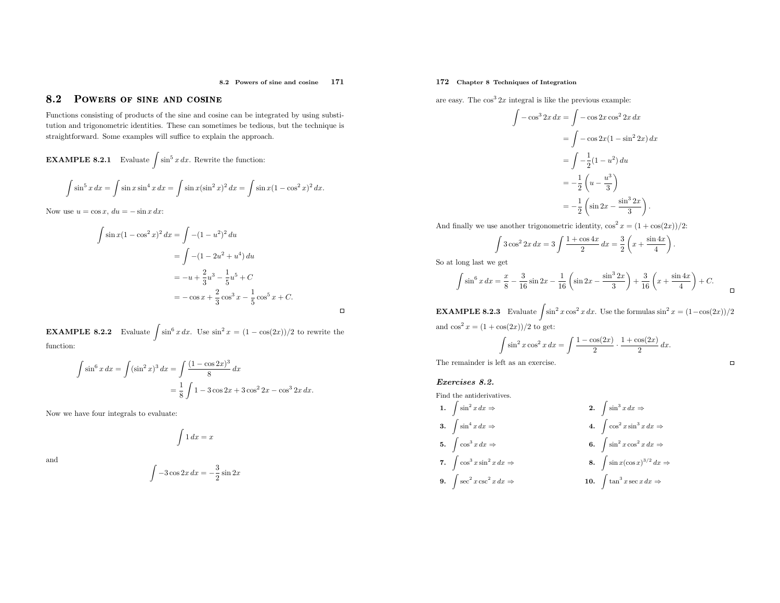#### 8.2 Powers of sine and cosine <sup>171</sup>

 $\Box$ 

#### 8.22 POWERS OF SINE AND COSINE

Functions consisting of products of the sine and cosine can be integrated by using substitution and trigonometric identities. These can sometimes be tedious, but the technique is straightforward. Some examples will suffice to explain the approach.

**EXAMPLE 8.2.1** Evaluate 
$$
\int \sin^5 x \, dx
$$
. Rewrite the function:

$$
\int \sin^5 x \, dx = \int \sin x \sin^4 x \, dx = \int \sin x (\sin^2 x)^2 \, dx = \int \sin x (1 - \cos^2 x)^2 \, dx.
$$

Now use  $u = \cos x$ ,  $du = -\sin x dx$ :

$$
\int \sin x (1 - \cos^2 x)^2 dx = \int -(1 - u^2)^2 du
$$
  
= 
$$
\int -(1 - 2u^2 + u^4) du
$$
  
= 
$$
-u + \frac{2}{3}u^3 - \frac{1}{5}u^5 + C
$$
  
= 
$$
-\cos x + \frac{2}{3}\cos^3 x - \frac{1}{5}\cos^5 x + C.
$$

**EXAMPLE 8.2.2** Evaluate  $\int \sin^6 x \, dx$ . Use sin  $2x = (1 - \cos(2x))/2$  to rewrite the function:

$$
\int \sin^6 x \, dx = \int (\sin^2 x)^3 \, dx = \int \frac{(1 - \cos 2x)^3}{8} \, dx
$$

$$
= \frac{1}{8} \int 1 - 3 \cos 2x + 3 \cos^2 2x - \cos^3 2x \, dx.
$$

Now we have four integrals to evaluate:

 $\int 1 dx = x$ 

and

$$
\int -3\cos 2x \, dx = -\frac{3}{2}\sin 2x
$$

### 172 Chapter <sup>8</sup> Techniques of Integration

are easy. The  $\cos^3 2x$  integral is like the previous example:

$$
\int -\cos^3 2x \, dx = \int -\cos 2x \cos^2 2x \, dx
$$

$$
= \int -\cos 2x (1 - \sin^2 2x) \, dx
$$

$$
= \int -\frac{1}{2} (1 - u^2) \, du
$$

$$
= -\frac{1}{2} \left( u - \frac{u^3}{3} \right)
$$

$$
= -\frac{1}{2} \left( \sin 2x - \frac{\sin^3 2x}{3} \right).
$$

And finally we use another trigonometric identity,  $\cos^2 x = (1 + \cos(2x))/2$ :

$$
\int 3\cos^2 2x \, dx = 3 \int \frac{1 + \cos 4x}{2} \, dx = \frac{3}{2} \left( x + \frac{\sin 4x}{4} \right).
$$

So at long last we get

$$
\int \sin^6 x \, dx = \frac{x}{8} - \frac{3}{16} \sin 2x - \frac{1}{16} \left( \sin 2x - \frac{\sin^3 2x}{3} \right) + \frac{3}{16} \left( x + \frac{\sin 4x}{4} \right) + C.
$$

**EXAMPLE 8.2.3** Evaluate  $\int \sin^2 x \cos^2 x \, dx$ . Use the formulas  $\sin^2 x = (1 - \cos(2x))/2$ and  $\cos^2 x = (1 + \cos(2x))/2$  to get:

$$
\int \sin^2 x \cos^2 x \, dx = \int \frac{1 - \cos(2x)}{2} \cdot \frac{1 + \cos(2x)}{2} \, dx.
$$

 $\Box$ 

The remainder is left as an exercise.

Exercises 8.2.

$$
Find the antiderivatives.\\
$$

1. 
$$
\int \sin^2 x \, dx \Rightarrow
$$
  
\n2.  $\int \sin^3 x \, dx \Rightarrow$   
\n3.  $\int \sin^4 x \, dx \Rightarrow$   
\n4.  $\int \cos^2 x \sin^3 x \, dx \Rightarrow$   
\n5.  $\int \cos^3 x \, dx \Rightarrow$   
\n6.  $\int \sin^2 x \cos^2 x \, dx \Rightarrow$ 

7. 
$$
\int \cos^3 x \sin^2 x \, dx \Rightarrow
$$
 8. 
$$
\int \sin x (\cos x)^{3/2} \, dx \Rightarrow
$$

9. 
$$
\int \sec^2 x \csc^2 x \, dx \Rightarrow
$$
 10.  $\int \tan^3 x \sec x \, dx \Rightarrow$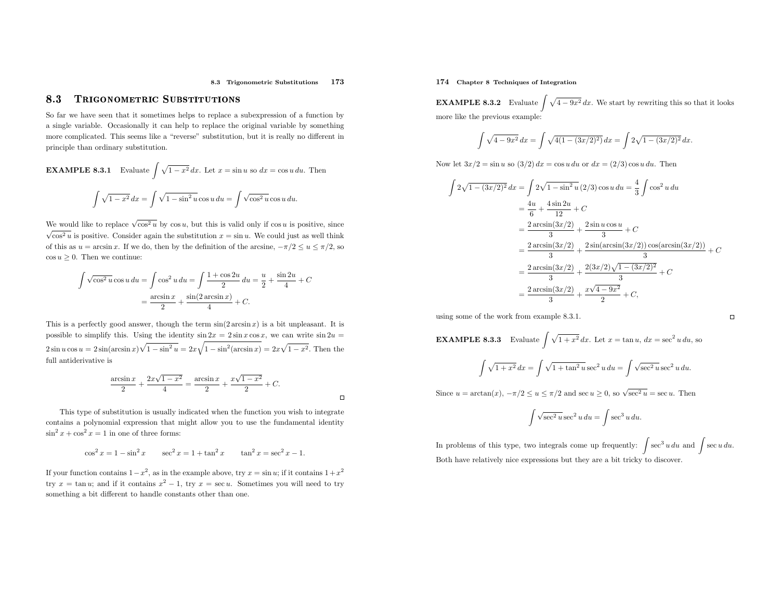#### 8.3 Trigonometric Substitutions <sup>173</sup>

#### 8.33 Trigonometric Substitutions

So far we have seen that it sometimes helps to replace <sup>a</sup> subexpression of <sup>a</sup> function by <sup>a</sup> single variable. Occasionally it can help to replace the original variable by something more complicated. This seems like <sup>a</sup> "reverse" substitution, but it is really no different inprinciple than ordinary substitution.

**EXAMPLE 8.3.1** Evaluate 
$$
\int \sqrt{1 - x^2} dx
$$
. Let  $x = \sin u$  so  $dx = \cos u du$ . Then  

$$
\int \sqrt{1 - x^2} dx = \int \sqrt{1 - \sin^2 u} \cos u du = \int \sqrt{\cos^2 u} \cos u du.
$$

We would like to replace  $\sqrt{\cos^2 u}$  by  $\cos u$ , but this is valid only if  $\cos u$  is positive, since  $\sqrt{\cos^2 u}$  is positive. Consider again the substitution  $x = \sin u$ . We could just as well think of this as  $u = \arcsin x$ . If we do, then by the definition of the arcsine,  $-\pi/2 \le u \le \pi/2$ , so  $\cos u \geq 0$ . Then we continue:

$$
\int \sqrt{\cos^2 u} \cos u \, du = \int \cos^2 u \, du = \int \frac{1 + \cos 2u}{2} \, du = \frac{u}{2} + \frac{\sin 2u}{4} + C
$$

$$
= \frac{\arcsin x}{2} + \frac{\sin(2 \arcsin x)}{4} + C.
$$

This is a perfectly good answer, though the term  $sin(2 arcsin x)$  is a bit unpleasant. It is possible to simplify this. Using the identity  $\sin 2x = 2 \sin x \cos x$ , we can write  $\sin 2u =$  $2 \sin u \cos u = 2 \sin(\arcsin x) \sqrt{1 - \sin^2 u} = 2x \sqrt{1 - \sin^2(\arcsin x)} = 2x \sqrt{1 - x^2}$ . Then the full antiderivative is

$$
\frac{\arcsin x}{2} + \frac{2x\sqrt{1-x^2}}{4} = \frac{\arcsin x}{2} + \frac{x\sqrt{1-x^2}}{2} + C.
$$

 $\Box$ 

This type of substitution is usually indicated when the function you wish to integrate contains <sup>a</sup> polynomial expression that might allow you to use the fundamental identity $\sin^2 x + \cos^2 x = 1$  in one of three forms:

$$
\cos^2 x = 1 - \sin^2 x \qquad \sec^2 x = 1 + \tan^2 x \qquad \tan^2 x = \sec^2 x - 1.
$$

If your function contains  $1-x^2$ , as in the example above, try  $x = \sin u$ ; if it contains  $1+x^2$ try  $x = \tan u$ ; and if it contains  $x^2 - 1$ , try  $x = \sec u$ . Sometimes you will need to try something <sup>a</sup> bit different to handle constants other than one.

### 174 Chapter <sup>8</sup> Techniques of Integration

**EXAMPLE 8.3.2** Evaluate  $\int \sqrt{4-9x^2} dx$ . We start by rewriting this so that it looks more like the previous example:

$$
\int \sqrt{4 - 9x^2} \, dx = \int \sqrt{4(1 - (3x/2)^2)} \, dx = \int 2\sqrt{1 - (3x/2)^2} \, dx.
$$

Now let  $3x/2 = \sin u$  so  $(3/2) dx = \cos u du$  or  $dx = (2/3) \cos u du$ . Then

$$
\int 2\sqrt{1 - (3x/2)^2} \, dx = \int 2\sqrt{1 - \sin^2 u} \, (2/3) \cos u \, du = \frac{4}{3} \int \cos^2 u \, du
$$

$$
= \frac{4u}{6} + \frac{4 \sin 2u}{12} + C
$$

$$
= \frac{2 \arcsin(3x/2)}{3} + \frac{2 \sin u \cos u}{3} + C
$$

$$
= \frac{2 \arcsin(3x/2)}{3} + \frac{2 \sin(\arcsin(3x/2)) \cos(\arcsin(3x/2))}{3} + C
$$

$$
= \frac{2 \arcsin(3x/2)}{3} + \frac{2(3x/2)\sqrt{1 - (3x/2)^2}}{3} + C
$$

$$
= \frac{2 \arcsin(3x/2)}{3} + \frac{x\sqrt{4 - 9x^2}}{2} + C,
$$

using some of the work from example 8.3.1.

 $\Box$ 

**EXAMPLE 8.3.3** Evaluate  $\int \sqrt{1+x^2} \, dx$ . Let  $x = \tan u$ ,  $dx = \sec^2 u \, du$ , so

$$
\int \sqrt{1+x^2} \, dx = \int \sqrt{1+\tan^2 u} \sec^2 u \, du = \int \sqrt{\sec^2 u} \sec^2 u \, du.
$$

Since  $u = \arctan(x)$ ,  $-\pi/2 \le u \le \pi/2$  and sec  $u \ge 0$ , so  $\sqrt{\sec^2 u} = \sec u$ . Then

$$
\int \sqrt{\sec^2 u} \sec^2 u \, du = \int \sec^3 u \, du.
$$

In problems of this type, two integrals come up frequently:  $\int \sec^3 u \, du$  and  $\int \sec u \, du$ . Both have relatively nice expressions but they are <sup>a</sup> bit tricky to discover.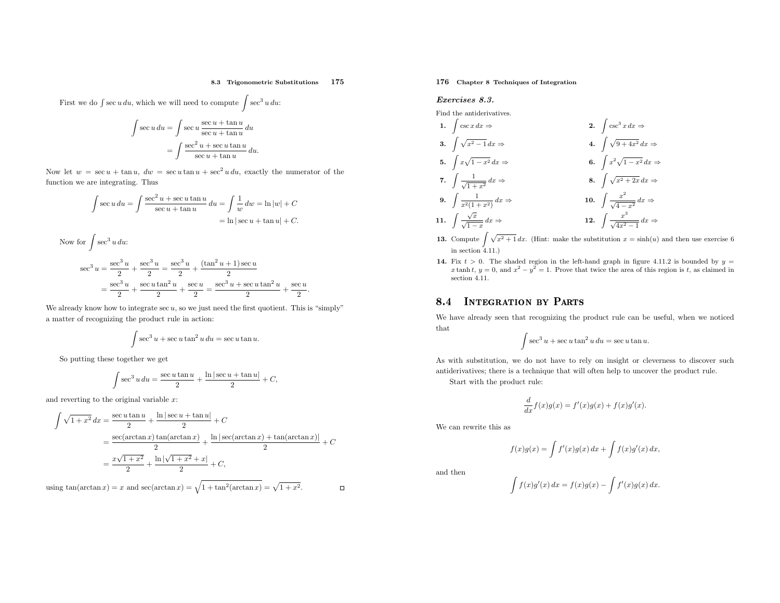#### 8.3 Trigonometric Substitutions <sup>175</sup>

First we do  $\int \sec u \, du$ , which we will need to compute  $\int \sec^3 u \, du$ .

$$
\int \sec u \, du = \int \sec u \, \frac{\sec u + \tan u}{\sec u + \tan u} \, du
$$

$$
= \int \frac{\sec^2 u + \sec u \tan u}{\sec u + \tan u} \, du.
$$

Now let  $w = \sec u + \tan u$ ,  $dw = \sec u \tan u + \sec^2 u du$ , exactly the numerator of the function we are integrating. Thus

$$
\int \sec u \, du = \int \frac{\sec^2 u + \sec u \tan u}{\sec u + \tan u} \, du = \int \frac{1}{w} \, dw = \ln |w| + C
$$

$$
= \ln |\sec u + \tan u| + C.
$$

Now for 
$$
\int \sec^3 u \, du
$$
:  
\n
$$
\sec^3 u = \frac{\sec^3 u}{2} + \frac{\sec^3 u}{2} = \frac{\sec^3 u}{2} + \frac{(\tan^2 u + 1)\sec u}{2} = \frac{\sec^3 u}{2} + \frac{\sec u \tan^2 u}{2} + \frac{\sec u}{2} = \frac{\sec^3 u + \sec u \tan^2 u}{2} + \frac{\sec u}{2}.
$$

We already know how to integrate  $\sec u$ , so we just need the first quotient. This is "simply" <sup>a</sup> matter of recognizing the product rule in action:

$$
\int \sec^3 u + \sec u \tan^2 u \, du = \sec u \tan u.
$$

So putting these together we get

$$
\int \sec^3 u \, du = \frac{\sec u \tan u}{2} + \frac{\ln|\sec u + \tan u|}{2} + C,
$$

and reverting to the original variable  $x$ :

$$
\int \sqrt{1+x^2} \, dx = \frac{\sec u \tan u}{2} + \frac{\ln|\sec u + \tan u|}{2} + C
$$
  
= 
$$
\frac{\sec(\arctan x) \tan(\arctan x)}{2} + \frac{\ln|\sec(\arctan x) + \tan(\arctan x)|}{2} + C
$$
  
= 
$$
\frac{x\sqrt{1+x^2}}{2} + \frac{\ln|\sqrt{1+x^2} + x|}{2} + C,
$$

using  $\tan(\arctan x) = x$  and  $\sec(\arctan x) = \sqrt{1 + \tan^2(\arctan x)} = \sqrt{1 + x^2}$ .

176 Chapter <sup>8</sup> Techniques of Integration

#### Exercises 8.3.

Find the antiderivatives.

1. 
$$
\int \csc x \, dx \Rightarrow
$$
  
\n2.  $\int \csc^3 x \, dx \Rightarrow$   
\n3.  $\int \sqrt{x^2 - 1} \, dx \Rightarrow$   
\n4.  $\int \sqrt{9 + 4x^2} \, dx \Rightarrow$   
\n5.  $\int x\sqrt{1 - x^2} \, dx \Rightarrow$   
\n6.  $\int x^2\sqrt{1 - x^2} \, dx \Rightarrow$   
\n7.  $\int \frac{1}{\sqrt{1 + x^2}} \, dx \Rightarrow$   
\n8.  $\int \sqrt{x^2 + 2x} \, dx \Rightarrow$   
\n9.  $\int \frac{1}{x^2(1 + x^2)} \, dx \Rightarrow$   
\n10.  $\int \frac{x^2}{\sqrt{4 - x^2}} \, dx \Rightarrow$   
\n11.  $\int \frac{\sqrt{x}}{\sqrt{1 - x}} \, dx \Rightarrow$   
\n12.  $\int \frac{x^3}{\sqrt{4x^2 - 1}} \, dx \Rightarrow$ 

- **13.** Compute  $\int \sqrt{x^2 + 1} dx$ . (Hint: make the substitution  $x = \sinh(u)$  and then use exercise 6 in section 4.11.)
- **14.** Fix  $t > 0$ . The shaded region in the left-hand graph in figure 4.11.2 is bounded by  $y = x \tanh t$ ,  $y = 0$ , and  $x^2 y^2 = 1$ . Prove that twice the area of this region is  $t$ , as claimed in  $x \cdot y = 0$ . section 4.11.

#### 8.44 INTEGRATION BY PARTS

We have already seen that recognizing the product rule can be useful, when we noticedthat

$$
\int \sec^3 u + \sec u \tan^2 u \, du = \sec u \tan u.
$$

As with substitution, we do not have to rely on insight or cleverness to discover suchantiderivatives; there is <sup>a</sup> technique that will often help to uncover the product rule.

Start with the product rule:

$$
\frac{d}{dx}f(x)g(x) = f'(x)g(x) + f(x)g'(x).
$$

We can rewrite this as

$$
f(x)g(x) = \int f'(x)g(x) dx + \int f(x)g'(x) dx,
$$

and then

$$
\int f(x)g'(x) dx = f(x)g(x) - \int f'(x)g(x) dx.
$$

 $\Box$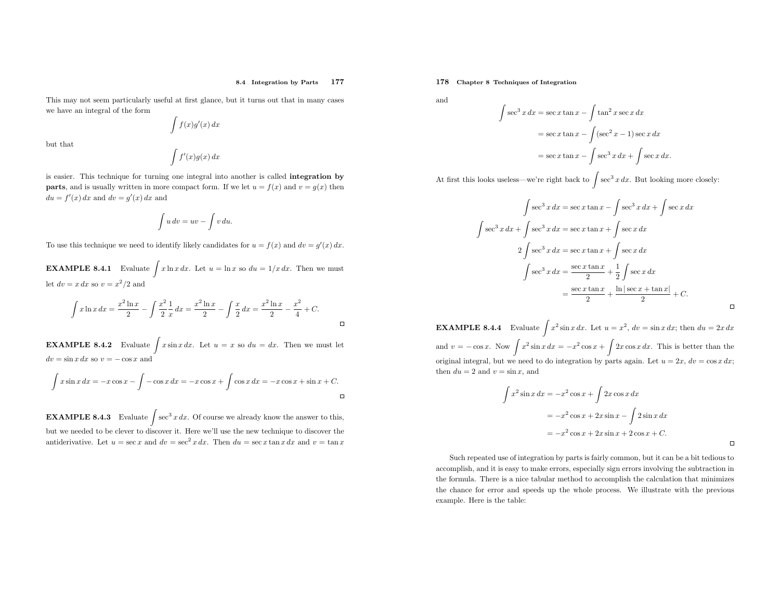This may not seem particularly useful at first <sup>g</sup>lance, but it turns out that in many cases we have an integral of the form

$$
\int f(x)g'(x) \, dx
$$

but that

$$
\int f'(x)g(x) \, dx
$$

is easier. This technique for turning one integral into another is called integration by**parts**, and is usually written in more compact form. If we let  $u = f(x)$  and  $v = g(x)$  then  $du = f'(x) dx$  and  $dv = g'(x) dx$  and

$$
\int u\,dv = uv - \int v\,du.
$$

To use this technique we need to identify likely candidates for  $u = f(x)$  and  $dv = g'(x) dx$ .

**EXAMPLE 8.4.1** Evaluate  $\int x \ln x \, dx$ . Let  $u = \ln x$  so  $du = 1/x \, dx$ . Then we must let  $dv = x dx$  so  $v = x^2/2$  and

$$
\int x \ln x \, dx = \frac{x^2 \ln x}{2} - \int \frac{x^2}{2} \frac{1}{x} \, dx = \frac{x^2 \ln x}{2} - \int \frac{x}{2} \, dx = \frac{x^2 \ln x}{2} - \frac{x^2}{4} + C.
$$

**EXAMPLE 8.4.2** Evaluate  $\int x \sin x \, dx$ . Let  $u = x$  so  $du = dx$ . Then we must let  $dv = \sin x \, dx$  so  $v = -\cos x$  and

$$
\int x \sin x \, dx = -x \cos x - \int -\cos x \, dx = -x \cos x + \int \cos x \, dx = -x \cos x + \sin x + C.
$$

**EXAMPLE 8.4.3** Evaluate  $\int \sec^3 x \, dx$ . Of course we already know the answer to this, but we needed to be clever to discover it. Here we'll use the new technique to discover the antiderivative. Let  $u = \sec x$  and  $dv = \sec^2 x dx$ . Then  $du = \sec x \tan x dx$  and  $v = \tan x$ 

178 Chapter <sup>8</sup> Techniques of Integration

and

$$
\int \sec^3 x \, dx = \sec x \tan x - \int \tan^2 x \sec x \, dx
$$

$$
= \sec x \tan x - \int (\sec^2 x - 1) \sec x \, dx
$$

$$
= \sec x \tan x - \int \sec^3 x \, dx + \int \sec x \, dx.
$$

At first this looks useless—we're right back to  $\int \sec^3 x \, dx$ . But looking more closely:

$$
\int \sec^3 x \, dx = \sec x \tan x - \int \sec^3 x \, dx + \int \sec x \, dx
$$

$$
\int \sec^3 x \, dx + \int \sec^3 x \, dx = \sec x \tan x + \int \sec x \, dx
$$

$$
2 \int \sec^3 x \, dx = \sec x \tan x + \int \sec x \, dx
$$

$$
\int \sec^3 x \, dx = \frac{\sec x \tan x}{2} + \frac{1}{2} \int \sec x \, dx
$$

$$
= \frac{\sec x \tan x}{2} + \frac{\ln|\sec x + \tan x|}{2} + C.
$$

**EXAMPLE 8.4.4** Evaluate  $\int x^2 \sin x \, dx$ . Let  $u = x^2$ ,  $dv = \sin x \, dx$ ; then  $du = 2x \, dx$ and  $v = -\cos x$ . Now  $\int x$ original integral, but we need to do integration by parts again. Let  $u = 2x$ ,  $dv = \cos x \, dx$ ;  $x^2 \sin x \, dx = -x$  $2\cos x + \int 2x \cos x \, dx$ . This is better than the then  $du = 2$  and  $v = \sin x$ , and

$$
\int x^2 \sin x \, dx = -x^2 \cos x + \int 2x \cos x \, dx
$$

$$
= -x^2 \cos x + 2x \sin x - \int 2 \sin x \, dx
$$

$$
= -x^2 \cos x + 2x \sin x + 2 \cos x + C.
$$

Such repeated use of integration by parts is fairly common, but it can be <sup>a</sup> bit tedious to accomplish, and it is easy to make errors, especially sign errors involving the subtraction in the formula. There is <sup>a</sup> nice tabular method to accomplish the calculation that minimizes the chance for error and speeds up the whole process. We illustrate with the previous example. Here is the table: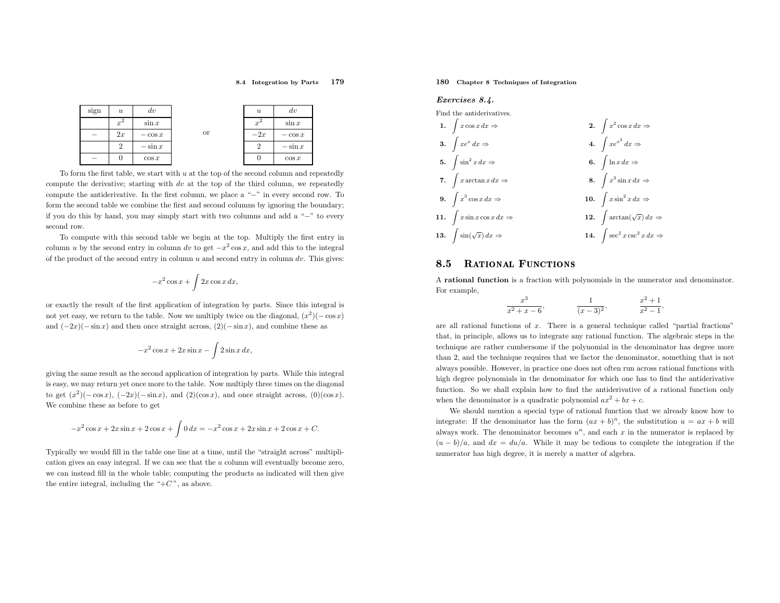#### 8.4 Integration by Parts <sup>179</sup>



To form the first table, we start with  $u$  at the top of the second column and repeatedly compute the derivative; starting with  $dv$  at the top of the third column, we repeatedly compute the antiderivative. In the first column, we <sup>p</sup>lace <sup>a</sup> " −" in every second row. To form the second table we combine the first and second columns by ignoring the boundary; if you do this by hand, you may simply start with two columns and add <sup>a</sup> " −" to everysecond row.

To compute with this second table we begin at the top. Multiply the first entry incolumn u by the second entry in column dv to get  $-x^2 \cos x$ , and add this to the integral of the product of the second entry in column  $u$  and second entry in column  $dv$ . This gives:

$$
-x^2\cos x + \int 2x\cos x \, dx
$$

or exactly the result of the first application of integration by parts. Since this integral is not yet easy, we return to the table. Now we multiply twice on the diagonal,  $(x^2)(-\cos x)$ and  $(-2x)(-\sin x)$  and then once straight across,  $(2)(-\sin x)$ , and combine these as

$$
-x^2\cos x + 2x\sin x - \int 2\sin x \, dx,
$$

<sup>g</sup>iving the same result as the second application of integration by parts. While this integral is easy, we may return yet once more to the table. Now multiply three times on the diagonal to get  $(x^2)(-\cos x)$ ,  $(-2x)(-\sin x)$ , and  $(2)(\cos x)$ , and once straight across,  $(0)(\cos x)$ . We combine these as before to get

$$
-x^{2}\cos x + 2x\sin x + 2\cos x + \int 0 dx = -x^{2}\cos x + 2x\sin x + 2\cos x + C.
$$

Typically we would fill in the table one line at <sup>a</sup> time, until the "straight across" multiplication <sup>g</sup>ives an easy integral. If we can see that the <sup>u</sup> column will eventually become zero, we can instead fill in the whole table; computing the products as indicated will then <sup>g</sup>ive the entire integral, including the " $+C$ ", as above.

### 180 Chapter <sup>8</sup> Techniques of Integration

#### Exercises 8.4.

Find the antiderivatives. 1.  $\int x \cos x \, dx \Rightarrow$  $\Rightarrow$  2.  $\int x^2 \cos x \, dx \Rightarrow$ 3.  $\int xe^x dx \Rightarrow$  $\Rightarrow$  4.  $\int xe^{x^2} dx \Rightarrow$  $\int \ln x \, dx \Rightarrow$ 5.  $\int \sin^2 x \, dx \Rightarrow$  $\Rightarrow$  6.  $\int x^3 \sin x \, dx \Rightarrow$ 7.  $\int x \arctan x \, dx \Rightarrow$  $\Rightarrow$  8. 9.  $\int x^3 \cos x \, dx \Rightarrow$  $\Rightarrow$  10.  $\int x \sin^2 x \, dx \Rightarrow$  $\int \arctan(\sqrt{x}) dx \Rightarrow$ 11.  $\int x \sin x \cos x \, dx \Rightarrow$  $\Rightarrow$  12.  $\int \sec^2 x \csc^2 x dx \Rightarrow$ 13.  $\int \sin(\sqrt{x}) dx \Rightarrow$  $\Rightarrow$  14.

#### 8.5RATIONAL FUNCTIONS

A rational function is <sup>a</sup> fraction with polynomials in the numerator and denominator. For example,

$$
\frac{x^3}{x^2 + x - 6}, \qquad \frac{1}{(x - 3)^2}, \qquad \frac{x^2 + 1}{x^2 - 1},
$$

are all rational functions of  $x$ . There is a general technique called "partial fractions" that, in principle, allows us to integrate any rational function. The algebraic steps in the technique are rather cumbersome if the polynomial in the denominator has degree more than 2, and the technique requires that we factor the denominator, something that is not always possible. However, in practice one does not often run across rational functions with high degree polynomials in the denominator for which one has to find the antiderivative function. So we shall explain how to find the antiderivative of <sup>a</sup> rational function onlywhen the denominator is a quadratic polynomial  $ax^2 + bx + c$ .

 We should mention <sup>a</sup> special type of rational function that we already know how to integrate: If the denominator has the form  $(ax + b)^n$ , the substitution  $u = ax + b$  will always work. The denominator becomes  $u^n$ , and each x in the numerator is replaced by  $(u - b)/a$ , and  $dx = du/a$ . While it may be tedious to complete the integration if the numerator has high degree, it is merely <sup>a</sup> matter of algebra.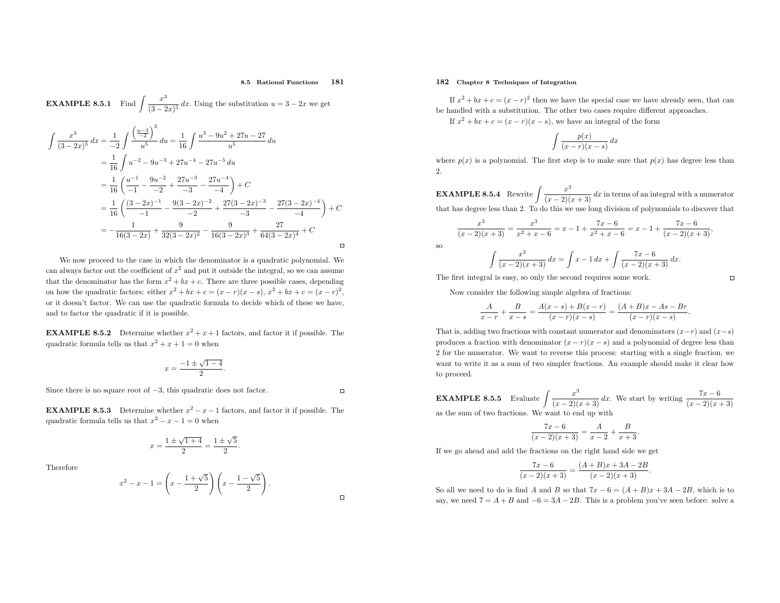#### 8.5 Rational Functions <sup>181</sup>

**EXAMPLE 8.5.1** Find 
$$
\int \frac{x^3}{(3-2x)^5} dx
$$
 Using the substitution  $u = 3 - 2x$  we get  
\n
$$
\int \frac{x^3}{(3-2x)^5} dx = \frac{1}{-2} \int \frac{\left(\frac{u-3}{2}\right)^3}{u^5} du = \frac{1}{16} \int \frac{u^3 - 9u^2 + 27u - 27}{u^5} du
$$
\n
$$
= \frac{1}{16} \int u^{-2} - 9u^{-3} + 27u^{-4} - 27u^{-5} du
$$
\n
$$
= \frac{1}{16} \left(\frac{u^{-1}}{-1} - \frac{9u^{-2}}{-2} + \frac{27u^{-3}}{-3} - \frac{27u^{-4}}{-4}\right) + C
$$
\n
$$
= \frac{1}{16} \left(\frac{(3-2x)^{-1}}{-1} - \frac{9(3-2x)^{-2}}{-2} + \frac{27(3-2x)^{-3}}{-3} - \frac{27(3-2x)^{-4}}{-4}\right) + C
$$

We now proceed to the case in which the denominator is <sup>a</sup> quadratic polynomial. We can always factor out the coefficient of  $x^2$  and put it outside the integral, so we can assume that the denominator has the form  $x^2 + bx + c$ . There are three possible cases, depending on how the quadratic factors: either  $x^2 + bx + c = (x - r)(x - s)$ ,  $x^2 + bx + c = (x - r)^2$ , or it doesn't factor. We can use the quadratic formula to decide which of these we have, and to factor the quadratic if it is possible.

 $=-\frac{1}{16(3-2x)}+\frac{9}{32(3-2x)^2}-\frac{9}{16(3-2x)^3}+\frac{27}{64(3-2x)^4}+C$ 

**EXAMPLE 8.5.2** Determine whether  $x^2 + x + 1$  factors, and factor it if possible. The quadratic formula tells us that  $x^2 + x + 1 = 0$  when

$$
x = \frac{-1 \pm \sqrt{1 - 4}}{2}.
$$

Since there is no square root of <sup>−</sup>3, this quadratic does not factor.

**EXAMPLE 8.5.3** Determine whether  $x^2 - x - 1$  factors, and factor it if possible. The quadratic formula tells us that  $x^2 - x - 1 = 0$  when

$$
x = \frac{1 \pm \sqrt{1+4}}{2} = \frac{1 \pm \sqrt{5}}{2}.
$$

Therefore

#### $\boldsymbol{x}$  $2 - x - 1 = \Bigg($  $x - \frac{1+\sqrt{5}}{2}$  $x \frac{1-\sqrt{5}}{2}$ . )<br>)

### 182 Chapter <sup>8</sup> Techniques of Integration

so

If  $x^2 + bx + c = (x - r)^2$  then we have the special case we have already seen, that can be handled with <sup>a</sup> substitution. The other two cases require different approaches. If  $x^2 + bx + c = (x - r)(x - s)$ , we have an integral of the form

 $\int \frac{p(x)}{(x-r)(x-s)} dx$ 

where  $p(x)$  is a polynomial. The first step is to make sure that  $p(x)$  has degree less than  $2^{\circ}$ 

**EXAMPLE 8.5.4** Rewrite  $\int \frac{x}{(x-2)} dx$  $\frac{x^3}{(x-2)(x+3)}$  dx in terms of an integral with a numerator that has degree less than 2. To do this we use long division of polynomials to discover that

$$
\frac{x^3}{(x-2)(x+3)} = \frac{x^3}{x^2+x-6} = x-1+\frac{7x-6}{x^2+x-6} = x-1+\frac{7x-6}{(x-2)(x+3)},
$$

$$
\int \frac{x^3}{(x-2)(x+3)} dx = \int x - 1 dx + \int \frac{7x - 6}{(x-2)(x+3)} dx.
$$

The first integral is easy, so only the second requires some work.

Now consider the following simple algebra of fractions:

$$
\frac{A}{x-r} + \frac{B}{x-s} = \frac{A(x-s) + B(x-r)}{(x-r)(x-s)} = \frac{(A+B)x - As - Br}{(x-r)(x-s)}.
$$

That is, adding two fractions with constant numerator and denominators  $(x-r)$  and  $(x-s)$ produces a fraction with denominator  $(x - r)(x - s)$  and a polynomial of degree less than <sup>2</sup> for the numerator. We want to reverse this process: starting with <sup>a</sup> single fraction, we want to write it as <sup>a</sup> sum of two simpler fractions. An example should make it clear howto proceed.

**EXAMPLE 8.5.5** Evaluate 
$$
\int \frac{x^3}{(x-2)(x+3)} dx
$$
. We start by writing  $\frac{7x-6}{(x-2)(x+3)}$  as the sum of two fractions. We want to end up with

$$
\frac{7x-6}{(x-2)(x+3)} = \frac{A}{x-2} + \frac{B}{x+3}.
$$

If we go ahead and add the fractions on the right hand side we get

$$
\frac{7x-6}{(x-2)(x+3)} = \frac{(A+B)x+3A-2B}{(x-2)(x+3)}.
$$

So all we need to do is find A and B so that  $7x - 6 = (A + B)x + 3A - 2B$ , which is to say, we need  $7 = A + B$  and  $-6 = 3A - 2B$ . This is a problem you've seen before: solve a

 $\Box$ 

 $\Box$ 

 $\Box$ 

 $\Box$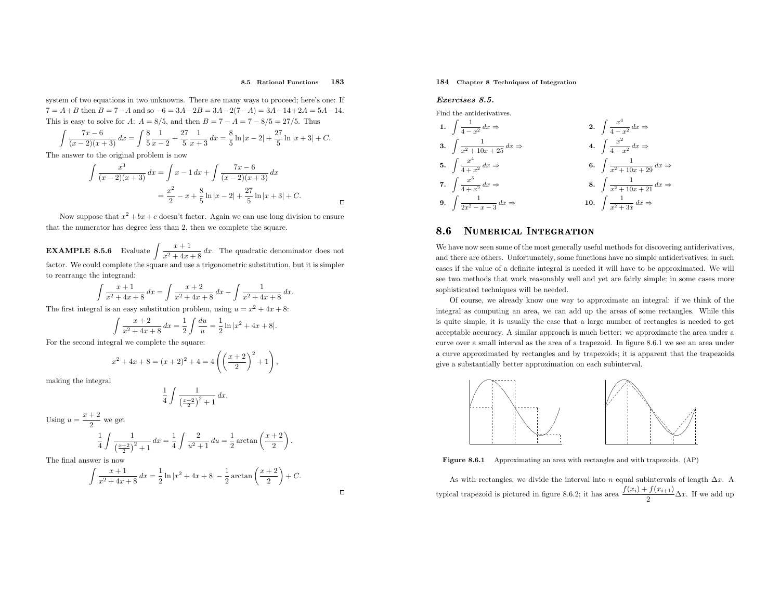#### 8.5 Rational Functions <sup>183</sup>

 $\Box$ 

 $\Box$ 

system of two equations in two unknowns. There are many ways to proceed; here's one: If  $7 = A + B$  then  $B = 7 - A$  and so  $-6 = 3A - 2B = 3A - 2(7 - A) = 3A - 14 + 2A = 5A - 14$ . This is easy to solve for A:  $A = 8/5$ , and then  $B = 7 - A = 7 - 8/5 = 27/5$ . Thus

$$
\int \frac{7x-6}{(x-2)(x+3)} dx = \int \frac{8}{5} \frac{1}{x-2} + \frac{27}{5} \frac{1}{x+3} dx = \frac{8}{5} \ln|x-2| + \frac{27}{5} \ln|x+3| + C.
$$

The answer to the original problem is now

$$
\int \frac{x^3}{(x-2)(x+3)} dx = \int x - 1 dx + \int \frac{7x - 6}{(x-2)(x+3)} dx
$$

$$
= \frac{x^2}{2} - x + \frac{8}{5} \ln|x-2| + \frac{27}{5} \ln|x+3| + C.
$$

Now suppose that  $x^2 + bx + c$  doesn't factor. Again we can use long division to ensure that the numerator has degree less than 2, then we complete the square.

**EXAMPLE 8.5.6** Evaluate  $\int \frac{x+1}{x^2+4x+8} dx$ . The quadratic denominator does not factor. We could complete the square and use <sup>a</sup> trigonometric substitution, but it is simpler to rearrange the integrand:

$$
\int \frac{x+1}{x^2+4x+8} \, dx = \int \frac{x+2}{x^2+4x+8} \, dx - \int \frac{1}{x^2+4x+8} \, dx.
$$

The first integral is an easy substitution problem, using  $u = x^2 + 4x + 8$ :

$$
\int \frac{x+2}{x^2+4x+8} dx = \frac{1}{2} \int \frac{du}{u} = \frac{1}{2} \ln|x^2+4x+8|.
$$

For the second integral we complete the square:

$$
x^{2} + 4x + 8 = (x + 2)^{2} + 4 = 4\left(\left(\frac{x + 2}{2}\right)^{2} + 1\right)
$$

making the integral

$$
\frac{1}{4} \int \frac{1}{\left(\frac{x+2}{2}\right)^2 + 1} dx.
$$

Using  $u = \frac{x + 2}{2}$  we get

$$
\frac{1}{4} \int \frac{1}{\left(\frac{x+2}{2}\right)^2 + 1} dx = \frac{1}{4} \int \frac{2}{u^2 + 1} du = \frac{1}{2} \arctan\left(\frac{x+2}{2}\right).
$$

The final answer is now

$$
\int \frac{x+1}{x^2+4x+8} dx = \frac{1}{2} \ln|x^2+4x+8| - \frac{1}{2} \arctan\left(\frac{x+2}{2}\right) + C.
$$

### 184 Chapter <sup>8</sup> Techniques of Integration

#### Exercises 8.5.

Find the antiderivatives.

1. 
$$
\int \frac{1}{4-x^2} dx \Rightarrow
$$
  
\n2. 
$$
\int \frac{x^4}{4-x^2} dx \Rightarrow
$$
  
\n3. 
$$
\int \frac{1}{x^2 + 10x + 25} dx \Rightarrow
$$
  
\n4. 
$$
\int \frac{x^2}{4-x^2} dx \Rightarrow
$$
  
\n5. 
$$
\int \frac{x^4}{4+x^2} dx \Rightarrow
$$
  
\n6. 
$$
\int \frac{1}{x^2 + 10x + 29} dx \Rightarrow
$$
  
\n7. 
$$
\int \frac{x^3}{4+x^2} dx \Rightarrow
$$
  
\n8. 
$$
\int \frac{1}{x^2 + 10x + 21} dx \Rightarrow
$$
  
\n9. 
$$
\int \frac{1}{2x^2 - x - 3} dx \Rightarrow
$$
  
\n10. 
$$
\int \frac{1}{x^2 + 3x} dx \Rightarrow
$$

#### 8.6NUMERICAL INTEGRATION

We have now seen some of the most generally useful methods for discovering antiderivatives, and there are others. Unfortunately, some functions have no simple antiderivatives; in such cases if the value of <sup>a</sup> definite integral is needed it will have to be approximated. We will see two methods that work reasonably well and yet are fairly simple; in some cases more sophisticated techniques will be needed.

Of course, we already know one way to approximate an integral: if we think of the integral as computing an area, we can add up the areas of some rectangles. While this is quite simple, it is usually the case that <sup>a</sup> large number of rectangles is needed to get acceptable accuracy. <sup>A</sup> similar approac<sup>h</sup> is much better: we approximate the area under <sup>a</sup> curve over <sup>a</sup> small interval as the area of <sup>a</sup> trapezoid. In figure 8.6.1 we see an area under <sup>a</sup> curve approximated by rectangles and by trapezoids; it is apparent that the trapezoids <sup>g</sup>ive <sup>a</sup> substantially better approximation on each subinterval.



Figure 8.6.1 Approximating an area with rectangles and with trapezoids. (AP)

As with rectangles, we divide the interval into n equal subintervals of length  $\Delta x$ . A typical trapezoid is pictured in figure 8.6.2; it has area  $\frac{f(x_i) + f(x_{i+1})}{2} \Delta x$ . If we add up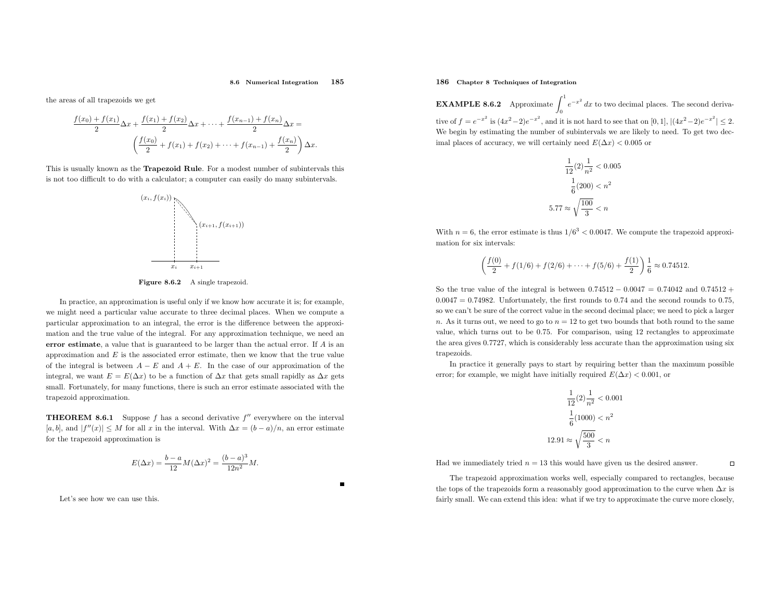#### 8.6 Numerical Integration<sup>185</sup>

the areas of all trapezoids we get

$$
\frac{f(x_0) + f(x_1)}{2} \Delta x + \frac{f(x_1) + f(x_2)}{2} \Delta x + \dots + \frac{f(x_{n-1}) + f(x_n)}{2} \Delta x =
$$

$$
\left(\frac{f(x_0)}{2} + f(x_1) + f(x_2) + \dots + f(x_{n-1}) + \frac{f(x_n)}{2}\right) \Delta x.
$$

This is usually known as the Trapezoid Rule. For <sup>a</sup> modest number of subintervals this is not too difficult to do with <sup>a</sup> calculator; <sup>a</sup> computer can easily do many subintervals.



Figure 8.6.2 A single trapezoid.

In practice, an approximation is useful only if we know how accurate it is; for example, we might need <sup>a</sup> particular value accurate to three decimal <sup>p</sup>laces. When we compute <sup>a</sup> particular approximation to an integral, the error is the difference between the approximation and the true value of the integral. For any approximation technique, we need anerror estimate, a value that is guaranteed to be larger than the actual error. If A is an approximation and  $E$  is the associated error estimate, then we know that the true value of the integral is between  $A-E$  and  $A+E$ . In the case of our approximation of the integral, we want  $E = E(\Delta x)$  to be a function of  $\Delta x$  that gets small rapidly as  $\Delta x$  gets small. Fortunately, for many functions, there is such an error estimate associated with the trapezoid approximation.

**THEOREM 8.6.1** Suppose f has a second derivative  $f''$  everywhere on the interval  $[a, b]$ , and  $|f''(x)| \leq M$  for all x in the interval. With  $\Delta x = (b - a)/n$ , an error estimate for the trapezoid approximation is

$$
E(\Delta x) = \frac{b-a}{12}M(\Delta x)^{2} = \frac{(b-a)^{3}}{12n^{2}}M.
$$

Let's see how we can use this.

### 186 Chapter <sup>8</sup> Techniques of Integration

**EXAMPLE 8.6.2** Approximate  $\int_0^1 e^{-x^2} dx$  to two decimal places. The second derivative of  $f = e^{-x^2}$  is  $(4x^2 - 2)e^{-x^2}$ , and it is not hard to see that on [0, 1],  $|(4x^2 - 2)e^{-x^2}| \le 2$ . We begin by estimating the number of subintervals we are likely to need. To get two decimal places of accuracy, we will certainly need  $E(\Delta x) < 0.005$  or

$$
\frac{1}{12}(2) \frac{1}{n^2} < 0.005
$$
\n
$$
\frac{1}{6}(200) < n^2
$$
\n
$$
5.77 \approx \sqrt{\frac{100}{3}} < n
$$

With  $n = 6$ , the error estimate is thus  $1/6<sup>3</sup> < 0.0047$ . We compute the trapezoid approximation for six intervals:

$$
\left(\frac{f(0)}{2} + f(1/6) + f(2/6) + \dots + f(5/6) + \frac{f(1)}{2}\right) \frac{1}{6} \approx 0.74512.
$$

So the true value of the integral is between  $0.74512 - 0.0047 = 0.74042$  and  $0.74512 +$  $0.0047 = 0.74982$ . Unfortunately, the first rounds to 0.74 and the second rounds to 0.75, so we can't be sure of the correct value in the second decimal <sup>p</sup>lace; we need to <sup>p</sup>ick <sup>a</sup> larger n. As it turns out, we need to go to  $n = 12$  to get two bounds that both round to the same value, which turns out to be <sup>0</sup>.75. For comparison, using <sup>12</sup> rectangles to approximate the area <sup>g</sup>ives <sup>0</sup>.7727, which is considerably less accurate than the approximation using sixtrapezoids.

In practice it generally pays to start by requiring better than the maximum possible error; for example, we might have initially required  $E(\Delta x) < 0.001$ , or

$$
\frac{1}{12}(2) \frac{1}{n^2} < 0.001
$$
\n
$$
\frac{1}{6}(1000) < n^2
$$
\n
$$
12.91 \approx \sqrt{\frac{500}{3}} < n
$$

Had we immediately tried  $n = 13$  this would have given us the desired answer.

The trapezoid approximation works well, especially compared to rectangles, because the tops of the trapezoids form a reasonably good approximation to the curve when  $\Delta x$  is fairly small. We can extend this idea: what if we try to approximate the curve more closely,

 $\Box$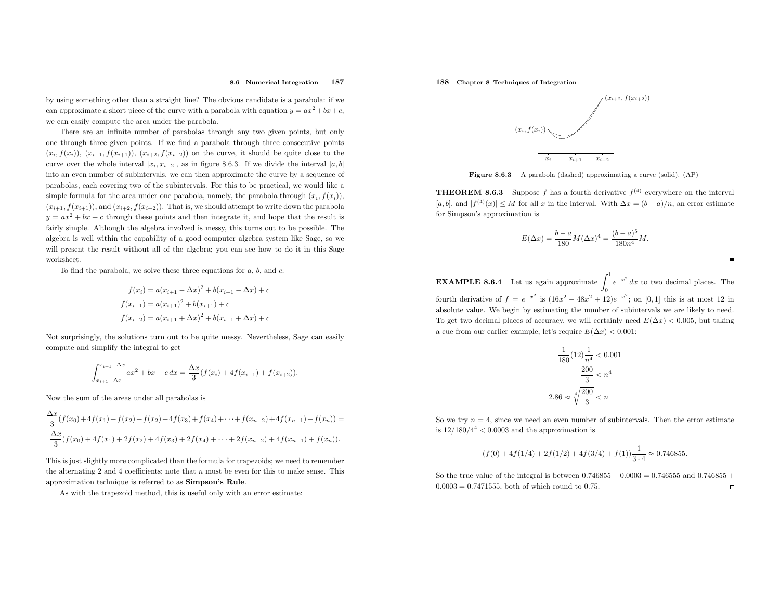by using something other than <sup>a</sup> straight line? The obvious candidate is <sup>a</sup> parabola: if we can approximate a short piece of the curve with a parabola with equation  $y = ax^2 + bx + c$ , we can easily compute the area under the parabola.

There are an infinite number of parabolas through any two <sup>g</sup>iven points, but only one through three <sup>g</sup>iven points. If we find <sup>a</sup> parabola through three consecutive points  $(x_i, f(x_i))$ ,  $(x_{i+1}, f(x_{i+1}))$ ,  $(x_{i+2}, f(x_{i+2}))$  on the curve, it should be quite close to the curve over the whole interval  $[x_i, x_{i+2}]$ , as in figure 8.6.3. If we divide the interval  $[a, b]$ into an even number of subintervals, we can then approximate the curve by <sup>a</sup> sequence of parabolas, each covering two of the subintervals. For this to be practical, we would like <sup>a</sup> simple formula for the area under one parabola, namely, the parabola through  $(x_i, f(x_i))$ ,  $(x_{i+1}, f(x_{i+1}))$ , and  $(x_{i+2}, f(x_{i+2}))$ . That is, we should attempt to write down the parabola  $y = ax^2 + bx + c$  through these points and then integrate it, and hope that the result is fairly simple. Although the algebra involved is messy, this turns out to be possible. The algebra is well within the capability of <sup>a</sup> good computer algebra system like Sage, so we will present the result without all of the algebra; you can see how to do it in this Sage worksheet.

To find the parabola, we solve these three equations for  $a, b$ , and  $c$ :

$$
f(x_i) = a(x_{i+1} - \Delta x)^2 + b(x_{i+1} - \Delta x) + c
$$
  

$$
f(x_{i+1}) = a(x_{i+1})^2 + b(x_{i+1}) + c
$$
  

$$
f(x_{i+2}) = a(x_{i+1} + \Delta x)^2 + b(x_{i+1} + \Delta x) + c
$$

Not surprisingly, the solutions turn out to be quite messy. Nevertheless, Sage can easilycompute and simplify the integral to get

$$
\int_{x_{i+1}-\Delta x}^{x_{i+1}+\Delta x} ax^2 + bx + c \, dx = \frac{\Delta x}{3} (f(x_i) + 4f(x_{i+1}) + f(x_{i+2})).
$$

Now the sum of the areas under all parabolas is

$$
\frac{\Delta x}{3}(f(x_0) + 4f(x_1) + f(x_2) + f(x_2) + 4f(x_3) + f(x_4) + \dots + f(x_{n-2}) + 4f(x_{n-1}) + f(x_n)) =
$$
  

$$
\frac{\Delta x}{3}(f(x_0) + 4f(x_1) + 2f(x_2) + 4f(x_3) + 2f(x_4) + \dots + 2f(x_{n-2}) + 4f(x_{n-1}) + f(x_n)).
$$

This is just slightly more complicated than the formula for trapezoids; we need to remember the alternating 2 and 4 coefficients; note that  $n$  must be even for this to make sense. This approximation technique is referred to as Simpson's Rule.

As with the trapezoid method, this is useful only with an error estimate:

188 Chapter <sup>8</sup> Techniques of Integration



Figure 8.6.3 <sup>A</sup> parabola (dashed) approximating <sup>a</sup> curve (solid). (AP)

**THEOREM 8.6.3** Suppose f has a fourth derivative  $f^{(4)}$  everywhere on the interval  $[a, b]$ , and  $|f^{(4)}(x)| \leq M$  for all x in the interval. With  $\Delta x = (b - a)/n$ , an error estimate for Simpson's approximation is

$$
E(\Delta x) = \frac{b-a}{180} M(\Delta x)^4 = \frac{(b-a)^5}{180n^4} M.
$$

**EXAMPLE 8.6.4** Let us again approximate  $\int_0^1 e^{-x^2} dx$  to two decimal places. The fourth derivative of  $f = e^{-x^2}$  is  $(16x^2 - 48x^2 + 12)e^{-x^2}$ ; on  $[0, 1]$  this is at most 12 in absolute value. We begin by estimating the number of subintervals we are likely to need. To get two decimal places of accuracy, we will certainly need  $E(\Delta x) < 0.005$ , but taking a cue from our earlier example, let's require  $E(\Delta x) < 0.001$ :

$$
\frac{1}{180}(12)\frac{1}{n^4} < 0.001
$$
\n
$$
\frac{200}{3} < n^4
$$
\n
$$
2.86 \approx \sqrt[4]{\frac{200}{3}} < n
$$

So we try  $n = 4$ , since we need an even number of subintervals. Then the error estimate is  $12/180/4^4 < 0.0003$  and the approximation is

$$
(f(0) + 4f(1/4) + 2f(1/2) + 4f(3/4) + f(1))\frac{1}{3 \cdot 4} \approx 0.746855.
$$

So the true value of the integral is between  $0.746855 - 0.0003 = 0.746555$  and  $0.746855 + 0.0003 = 0.746555$  $0.0003 = 0.7471555$ , both of which round to 0.75.